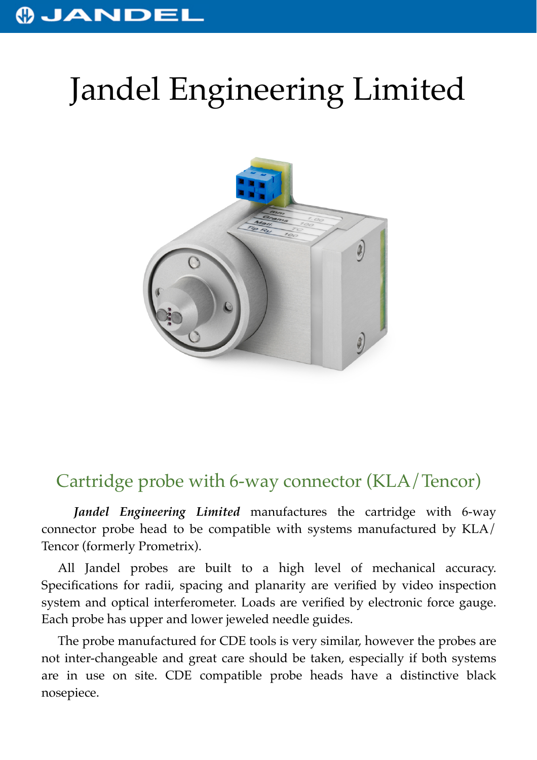## **OJANDEI**

## Jandel Engineering Limited



## Cartridge probe with 6-way connector (KLA/Tencor)

*Jandel Engineering Limited* manufactures the cartridge with 6-way connector probe head to be compatible with systems manufactured by KLA/ Tencor (formerly Prometrix).

All Jandel probes are built to a high level of mechanical accuracy. Specifications for radii, spacing and planarity are verified by video inspection system and optical interferometer. Loads are verified by electronic force gauge. Each probe has upper and lower jeweled needle guides.

The probe manufactured for CDE tools is very similar, however the probes are not inter-changeable and great care should be taken, especially if both systems are in use on site. CDE compatible probe heads have a distinctive black nosepiece.